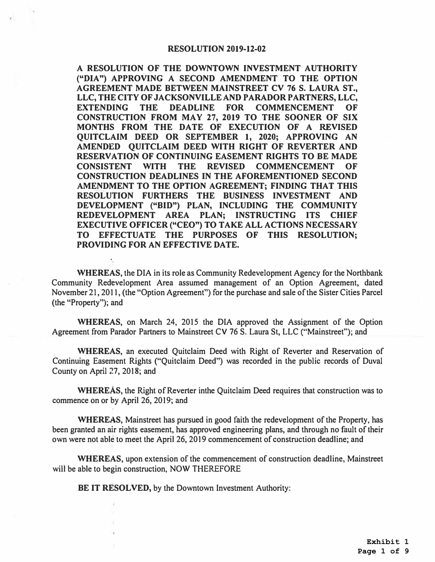#### **RESOLUTION 2019-12-02**

**A RESOLUTION OF THE DOWNTOWN INVESTMENT AUTHORITY ("DIA") APPROVING A SECOND AMENDMENT TO THE OPTION AGREEMENT MADE BETWEEN MAINSTREET CV 76 S. LAURA ST., LLC, THE CITY OF JACKSONVILLE AND PARADOR PARTNERS, LLC, EXTENDING THE DEADLINE FOR COMMENCEMENT OF CONSTRUCTION FROM MAY 27, 2019 TO THE SOONER OF SIX MONTHS FROM THE DATE OF EXECUTION OF A REVISED QUITCLAIM DEED OR SEPTEMBER 1, 2020; APPROVING AN AMENDED QUITCLAIM DEED WITH RIGHT OF REVERTER AND RESERVATION OF CONTINUING EASEMENT RIGHTS TO BE MADE CONSISTENT WITH THE REVISED COMMENCEMENT OF CONSTRUCTION DEADLINES IN THE AFOREMENTIONED SECOND AMENDMENT TO THE OPTION AGREEMENT; FINDING THAT THIS RESOLUTION FURTHERS THE BUSINESS INVESTMENT AND DEVELOPMENT ("BID") PLAN, INCLUDING THE COMMUNITY REDEVELOPMENT AREA PLAN; INSTRUCTING ITS CHIEF EXECUTIVE OFFICER ("CEO") TO TAKE ALL ACTIONS NECESSARY TO EFFECTUATE THE PURPOSES OF THIS RESOLUTION; PROVIDING FOR AN EFFECTIVE DATE.** 

**WHEREAS, the DIA in its role as Community Redevelopment Agency for the Northbank Community Redevelopment Area assumed management of an Option Agreement, dated November 21, 2011, (the "Option Agreement") for the purchase and sale of the Sister Cities Parcel (the "Property"); and** 

**WHEREAS, on March 24, 2015 the DIA approved the Assignment of the Option**  Agreement from Parador Partners to Mainstreet CV 76 S. Laura St, LLC ("Mainstreet"); and

**WHEREAS, an executed Quitclaim Deed with Right of Reverter and Reservation of Continuing Easement Rights ("Quitclaim Deed") was recorded in the public records of Duval County on April 27, 2018; and** 

**WHEREAS, the Right of Reverter inthe Quitclaim Deed requires that construction was to commence on or by April 26, 2019; and** 

**WHEREAS, Mainstreet has pursued in good faith the redevelopment of the Property, has been granted an air rights easement, has approved engineering plans, and through no fault of their own were not able to meet the April 26, 2019 commencement of construction deadline; and** 

**WHEREAS, upon extension of the commencement of construction deadline, Mainstreet will be able to begin construction, NOW THEREFORE** 

**BE IT RESOLVED, by the Downtown Investment Authority:**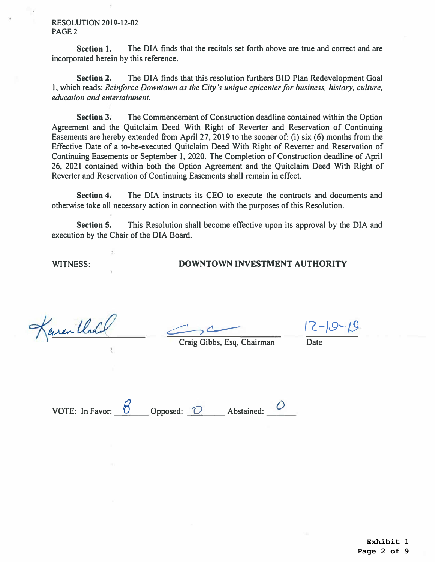#### **RESOLUTION 2019-12-02 PAGE2**

**Section 1.** The DIA finds that the recitals set forth above are true and correct and are incorporated herein by this reference.

**Section 2.** The DIA finds that this resolution furthers BID Plan Redevelopment Goal 1, which reads: *Reinforce Downtown as the City's unique epicenter for business, history, culture, education and entertainment.* 

**Section 3.** The Commencement of Construction deadline contained within the Option Agreement and the Quitclaim Deed With Right of Reverter and Reservation of Continuing Easements are hereby extended from April 27, 2019 to the sooner of: (i) six (6) months from the Effective Date of a to-be-executed Quitclaim Deed With Right of Reverter and Reservation of Continuing Easements or September 1, 2020. The Completion of Construction deadline of April 26, 2021 contained within both the Option Agreement and the Quitclaim Deed With Right of Reverter and Reservation of Continuing Easements shall remain in effect.

**Section 4.** The DIA instructs its CEO to execute the contracts and documents and otherwise take all necessary action in connection with the purposes of this Resolution.

**Section S.** This Resolution shall become effective upon its approval by the DIA and execution by the Chair of the DIA Board.

# WITNESS: **DOWNTOWN INVESTMENT AUTHORITY**

Karenthal

 $|7 - 19 - 19$ 

Craig Gibbs, Esq, Chairman

**VOTE:** In Favor:  $\frac{16}{2}$  Opposed:  $\frac{1}{2}$  Abstained:  $\frac{1}{2}$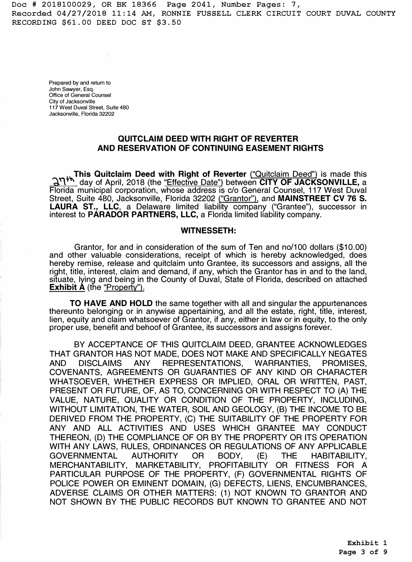Doc # 2018100029, OR BK 18366 Page 2041, Number Pages: 7, Recorded 04/27/2018 11:14 AM, RONNIE FUSSELL CLERK CIRCUIT COURT DUVAL COUNTY RECORDING \$61.00 DEED DOC ST \$3.50

Prepared by and return to John Sawyer, Esq. Office of General Counsel City of Jacksonville 117 West Duval Street, Suite 480 Jacksonville, Florida 32202

# **QUITCLAIM DEED WITH RIGHT OF REVERTER AND RESERVATION OF CONTINUING EASEMENT RIGHTS**

**This Quitclaim Deed with Right of Reverter** ("Quitclaim Deed") is made this **'.d,"\<sup>+</sup> '1\** day of April, 2018 (the "Effective Date") between **CITY OF JACKSONVILLE,** <sup>a</sup> Florida municipal corporation, whose address is c/o General Counsel, 117 West Duval Street, Suite 480, Jacksonville, Florida 32202 ("Grantor''), and **MAINSTREET CV 76 S. LAURA ST., LLC,** a Delaware limited liability company ("Grantee"), successor in interest to **PARADOR PARTNERS, LLC,** a Florida limited liability company.

#### **WITNESSETH:**

Grantor, for and in consideration of the sum of Ten and no/100 dollars (\$10.00) and other valuable considerations, receipt of which is hereby acknowledged, does hereby remise, release and quitclaim unto Grantee, its successors and assigns, all the right, title, interest, claim and demand, if any, which the Grantor has in and to the land, situate, lying and being in the County of Duval, State of Florida, described on attached **Exhibit A** (the "Property").

**TO HAVE AND HOLD** the same together with all and singular the appurtenances thereunto belonging or in anywise appertaining, and all the estate, right, title, interest, lien, equity and claim whatsoever of Grantor, if any, either in law or in equity, to the only proper use, benefit and behoof of Grantee, its successors and assigns forever.

BY ACCEPTANCE OF THIS QUITCLAIM DEED, GRANTEE ACKNOWLEDGES THAT GRANTOR HAS NOT MADE, DOES NOT MAKE AND SPECIFICALLY NEGATES AND DISCLAIMS ANY REPRESENTATIONS, WARRANTIES, PROMISES, COVENANTS, AGREEMENTS OR GUARANTIES OF ANY KIND OR CHARACTER WHATSOEVER, WHETHER EXPRESS OR IMPLIED, ORAL OR WRITTEN, PAST, PRESENT OR FUTURE, OF, AS TO, CONCERNING OR WITH RESPECT TO (A) THE VALUE, NATURE, QUALITY OR CONDITION OF THE PROPERTY, INCLUDING, WITHOUT LIMITATION, THE WATER, SOIL AND GEOLOGY, (B) THE INCOME TO BE DERIVED FROM THE PROPERTY, (C) THE SUITABILITY OF THE PROPERTY FOR ANY AND ALL ACTIVITIES AND USES WHICH GRANTEE MAY CONDUCT THEREON, (D) THE COMPLIANCE OF OR BY THE PROPERTY OR ITS OPERATION WITH ANY LAWS, RULES, ORDINANCES OR REGULATIONS OF ANY APPLICABLE GOVERNMENTAL AUTHORITY OR BODY, (E) THE HABITABILITY, MERCHANTABILITY, MARKETABILITY, PROFITABILITY OR FITNESS FOR A PARTICULAR PURPOSE OF THE PROPERTY, (F) GOVERNMENTAL RIGHTS OF POLICE POWER OR EMINENT DOMAIN, (G) DEFECTS, LIENS, ENCUMBRANCES, ADVERSE CLAIMS OR OTHER MATTERS: (1) NOT KNOWN TO GRANTOR AND NOT SHOWN BY THE PUBLIC RECORDS BUT KNOWN TO GRANTEE AND NOT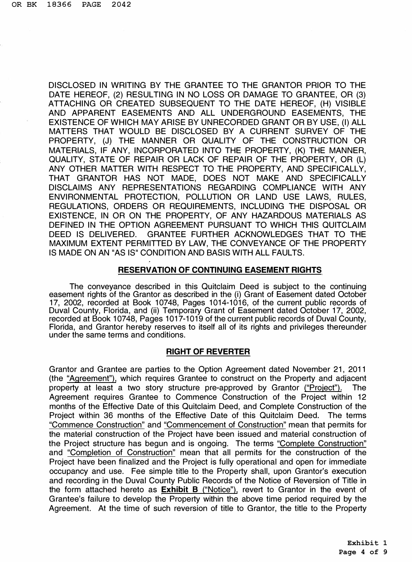DISCLOSED IN WRITING BY THE GRANTEE TO THE GRANTOR PRIOR TO THE DATE HEREOF, (2) RESULTING IN NO LOSS OR DAMAGE TO GRANTEE, OR (3) ATTACHING OR CREATED SUBSEQUENT TO THE DATE HEREOF, (H) VISIBLE AND APPARENT EASEMENTS AND ALL UNDERGROUND EASEMENTS, THE EXISTENCE OF WHICH MAY ARISE BY UNRECORDED GRANT OR BY USE, (I) ALL MATTERS THAT WOULD BE DISCLOSED BY A CURRENT SURVEY OF THE PROPERTY, (J) THE MANNER OR QUALITY OF THE CONSTRUCTION OR MATERIALS, IF ANY, INCORPORATED INTO THE PROPERTY, (K) THE MANNER, QUALITY, STATE OF REPAIR OR LACK OF REPAIR OF THE PROPERTY, OR (L) ANY OTHER MATTER WITH RESPECT TO THE PROPERTY, AND SPECIFICALLY, THAT GRANTOR HAS NOT MADE, DOES NOT MAKE AND SPECIFICALLY DISCLAIMS ANY REPRESENTATIONS REGARDING COMPLIANCE WITH ANY ENVIRONMENTAL PROTECTION, POLLUTION OR LAND USE LAWS, RULES, REGULATIONS, ORDERS OR REQUIREMENTS, INCLUDING THE DISPOSAL OR EXISTENCE, IN OR ON THE PROPERTY, OF ANY HAZARDOUS MATERIALS AS DEFINED IN THE OPTION AGREEMENT PURSUANT TO WHICH THIS QUITCLAIM DEED IS DELIVERED. GRANTEE FURTHER ACKNOWLEDGES THAT TO THE MAXIMUM EXTENT PERMITTED BY LAW, THE CONVEYANCE OF THE PROPERTY IS MADE ON AN "AS IS" CONDITION AND BASIS WITH ALL FAULTS.

#### **RESERVATION OF CONTINUING EASEMENT RIGHTS**

The conveyance described in this Quitclaim Deed is subject to the continuing easement rights of the Grantor as described in the (i) Grant of Easement dated October 17, 2002, recorded at Book 10748, Pages 1014-1016, of the current public records of Duval County, Florida, and (ii) Temporary Grant of Easement dated October 17, 2002, recorded at Book 10748, Pages 1017-1019 of the current public records of Duval County, Florida, and Grantor hereby reserves to itself all of its rights and privileges thereunder under the same terms and conditions.

# **RIGHT OF REVERTER**

Grantor and Grantee are parties to the Option Agreement dated November 21, 2011 (the "Agreement"), which requires Grantee to construct on the Property and adjacent property at least a two story structure pre-approved by Grantor ("Project"). The Agreement requires Grantee to Commence Construction of the Project within 12 months of the Effective Date of this Quitclaim Deed, and Complete Construction of the Project within 36 months of the Effective Date of this Quitclaim Deed. The terms "Commence Construction" and "Commencement of Construction" mean that permits for the material construction of the Project have been issued and material construction of the Project structure has begun and is ongoing. The terms "Complete Construction" and "Completion of Construction" mean that all permits for the construction of the Project have been finalized and the Project is fully operational and open for immediate occupancy and use. Fee simple title to the Property shall, upon Grantor's execution and recording in the Duval County Public Records of the Notice of Reversion of Title in the form attached hereto as **Exhibit B** ("Notice"), revert to Grantor in the event of Grantee's failure to develop the Property within the above time period required by the Agreement. At the time of such reversion of title to Grantor, the title to the Property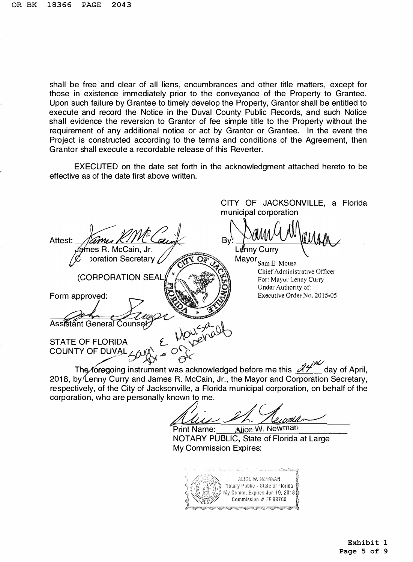shall be free and clear of all liens, encumbrances and other title matters, except for those in existence immediately prior to the conveyance of the Property to Grantee. Upon such failure by Grantee to timely develop the Property, Grantor shall be entitled to execute and record the Notice in the Duval County Public Records, and such Notice shall evidence the reversion to Grantor of fee simple title to the Property without the requirement of any additional notice or act by Grantor or Grantee. In the event the Project is constructed according to the terms and conditions of the Agreement, then Grantor shall execute a recordable release of this Reverter.

EXECUTED on the date set forth in the acknowledgment attached hereto to be effective as of the date first above written.

|                                                                      | UII UI<br>UNUIVUUTTULLE, a TUINQ                                              |
|----------------------------------------------------------------------|-------------------------------------------------------------------------------|
|                                                                      | municipal corporation                                                         |
| Attest:<br><i>J</i> ames R. McCain, Jr.<br><b>poration Secretary</b> | By:<br>Lenny Curry<br>Mayor Sam E. Mousa                                      |
| (CORPORATION SEAL                                                    | Chief Administrative Officer<br>For: Mayor Lenny Curry<br>Under Authority of: |
| Form approved:                                                       | Executive Order No. 2015-05                                                   |
| Assistant General Counsel                                            |                                                                               |
| E Mou via<br><b>STATE OF FLORIDA</b><br><b>COUNTY OF DUVAL</b>       |                                                                               |
|                                                                      | a SALI                                                                        |

The foregoing instrument was acknowledged before me this 24 day of April, and the foregoing instrument was acknowledged before the this <u>Terry day of Aphit</u><br>, 2018, by Lenny Curry and James R. McCain, Jr., the Mayor and Corporation Secretary, respectively, of the City of Jacksonville, a Florida municipal corporation, on behalf of the corporation, who are personally known to me.

CITY OF JACKSONVILLE, a Florida

Print Name: Alice W. Newman NOTARY PUBLIC, State of Florida at Large My Commission Expires:

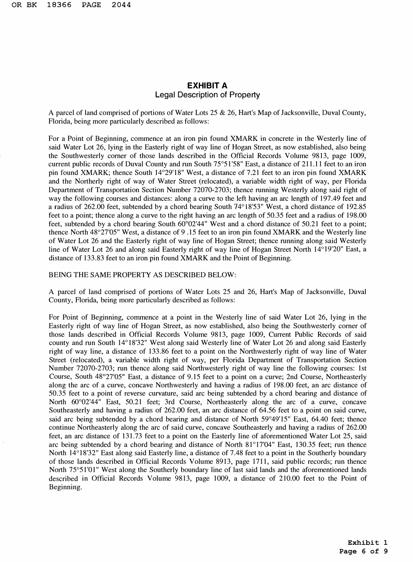# **EXHIBIT A Legal Description of Property**

A parcel of land comprised of portions of Water Lots 25 & 26, Hart's Map of Jacksonville, Duval County, Florida, being more particularly described as follows:

For a Point of Beginning, commence at an iron pin found XMARK in concrete in the Westerly line of said Water Lot 26, lying in the Easterly right of way line of Hogan Street, as now established, also being the Southwesterly corner of those lands described in the Official Records Volume 9813, page 1009, current public records of Duval County and run South 75° 51 '58" East, a distance of 211. 11 feet to an iron pin found XMARK; thence South 14° 29'18" West, a distance of 7.21 feet to an iron pin found XMARK and the Northerly right of way of Water Street (relocated), a variable width right of way, per Florida Department of Transportation Section Number 72070-2703; thence running Westerly along said right of way the following courses and distances: along a curve to the left having an arc length of 197.49 feet and a radius of 262.00 feet, subtended by a chord bearing South 74° 18'53" West, a chord distance of 192.85 feet to a point; thence along a curve to the right having an arc length of 50.35 feet and a radius of 198.00 feet, subtended by a chord bearing South 60° 02'44" West and a chord distance of 50.21 feet to a point; thence North 48° 27'05" West, a distance of 9 .15 feet to an iron pin found **XMARK** and the Westerly line of Water Lot 26 and the Easterly right of way line of Hogan Street; thence running along said Westerly line of Water Lot 26 and along said Easterly right of way line of Hogan Street North 14° 19'20" East, a distance of 133.83 feet to an iron pin found **XMARK** and the Point of Beginning.

#### BEING THE SAME PROPERTY AS DESCRIBED BELOW:

A parcel of land comprised of portions of Water Lots 25 and 26, Hart's Map of Jacksonville, Duval County, Florida, being more particularly described as follows:

For Point of Beginning, commence at a point in the Westerly line of said Water Lot 26, lying in the Easterly right of way line of Hogan Street, as now established, also being the Southwesterly corner of those lands described in Official Records Volume 9813, page 1009, Current Public Records of said county and run South 14° 18'32" West along said Westerly line of Water Lot 26 and along said Easterly right of way line, a distance of 133.86 feet to a point on the Northwesterly right of way line of Water Street (relocated), a variable width right of way, per Florida Department of Transportation Section Number 72070-2703; run thence along said Northwesterly right of way line the following courses: 1st Course, South 48°27'05" East, a distance of 9.15 feet to a point on a curve; 2nd Course, Northeasterly along the arc of a curve, concave Northwesterly and having a radius of 198.00 feet, an arc distance of 50.35 feet to a point of reverse curvature, said arc being subtended by a chord bearing and distance of North 60° 02'44" East, 50.21 feet; 3rd Course, Northeasterly along the arc of a curve, concave Southeasterly and having a radius of 262.00 feet, an arc distance of 64.56 feet to a point on said curve, said arc being subtended by a chord bearing and distance of North 59°49'15" East, 64.40 feet; thence continue Northeasterly along the arc of said curve, concave Southeasterly and having a radius of 262.00 feet, an arc distance of 131.73 feet to a point on the Easterly line of aforementioned Water Lot 25, said arc being subtended by a chord bearing and distance of North 81° 17'04" East, 130.35 feet; run thence North 14°18'32" East along said Easterly line, a distance of 7.48 feet to a point in the Southerly boundary of those lands described in Official Records Volume 8913, page 1711, said public records; run thence North 75° 51'01" West along the Southerly boundary line of last said lands and the aforementioned lands described in Official Records Volume 9813, page 1009, a distance of 210.00 feet to the Point of Beginning.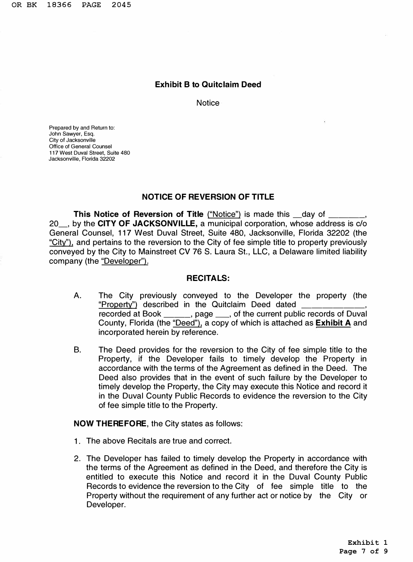# **Exhibit B to Quitclaim Deed**

**Notice** 

Prepared by and Return to: John Sawyer, Esq. City of Jacksonville Office of General Counsel 117 West Duval Street, Suite 480 Jacksonville, Florida 32202

#### **NOTICE OF REVERSION OF TITLE**

**This Notice of Reversion of Title** ("Notice") is made this \_\_day of **20\_, by the CITY OF JACKSONVILLE, a municipal corporation, whose address is c/o General Counsel, 117 West Duval Street, Suite 480, Jacksonville, Florida 32202 (the "City"), and pertains to the reversion to the City of fee simple title to property previously conveyed by the City to Mainstreet CV 76 S. Laura St., LLC, a Delaware limited liability company (the "Developer'').** 

#### **RECITALS:**

- **A. The City previously conveyed to the Developer the property (the "Property") described in the Quitclaim Deed dated \_\_\_\_\_\_ ,**  recorded at Book  $\qquad \qquad$ , page  $\qquad$ , of the current public records of Duval **County, Florida (the "Deed"), a copy of which is attached as Exhibit A and incorporated herein by reference.**
- **B. The Deed provides for the reversion to the City of fee simple title to the Property, if the Developer fails to timely develop the Property in accordance with the terms of the Agreement as defined in the Deed. The Deed also provides that in the event of such failure by the Developer to timely develop the Property, the City may execute this Notice and record it in the Duval County Public Records to evidence the reversion to the City of fee simple title to the Property.**

**NOW THEREFORE, the City states as follows:** 

- **1 . The above Recitals are true and correct.**
- **2. The Developer has failed to timely develop the Property in accordance with the terms of the Agreement as defined in the Deed, and therefore the City is entitled to execute this Notice and record it in the Duval County Public Records to evidence the reversion to the City of fee simple title to the Property without the requirement of any further act or notice by the City or Developer.**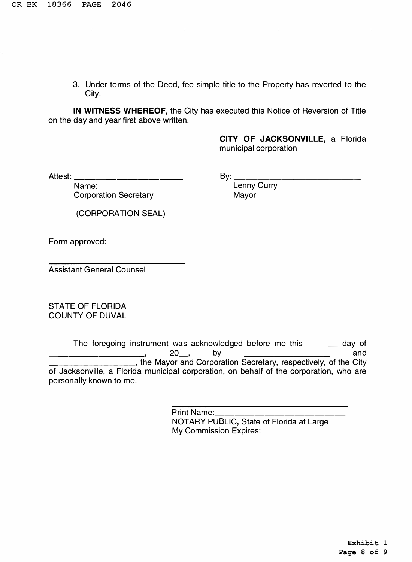3. Under terms of the Deed, fee simple title to the Property has reverted to the City.

**IN WITNESS WHEREOF,** the City has executed this Notice of Reversion of Title on the day and year first above written.

> **CITY OF JACKSONVILLE,** a Florida municipal corporation

Attest: \_\_\_\_\_\_\_\_\_ \_ By:----------

Name: Lenny Curry **Corporation Secretary Mayor** 

(CORPORATION SEAL)

Form approved:

Assistant General Counsel

STATE OF FLORIDA COUNTY OF DUVAL

The foregoing instrument was acknowledged before me this \_\_\_\_\_ day of \_\_\_\_\_\_\_\_\_\_ , 20\_, by \_\_\_\_\_\_\_\_\_ and **\_\_\_\_\_\_\_\_\_\_\_\_\_\_\_\_\_\_\_\_**, the Mayor and Corporation Secretary, respectively, of the City of Jacksonville, a Florida municipal corporation, on behalf of the corporation, who are personally known to me.

> Print Name:<br>NOTARY PUBLIC, State of Florida at Large My Commission Expires: